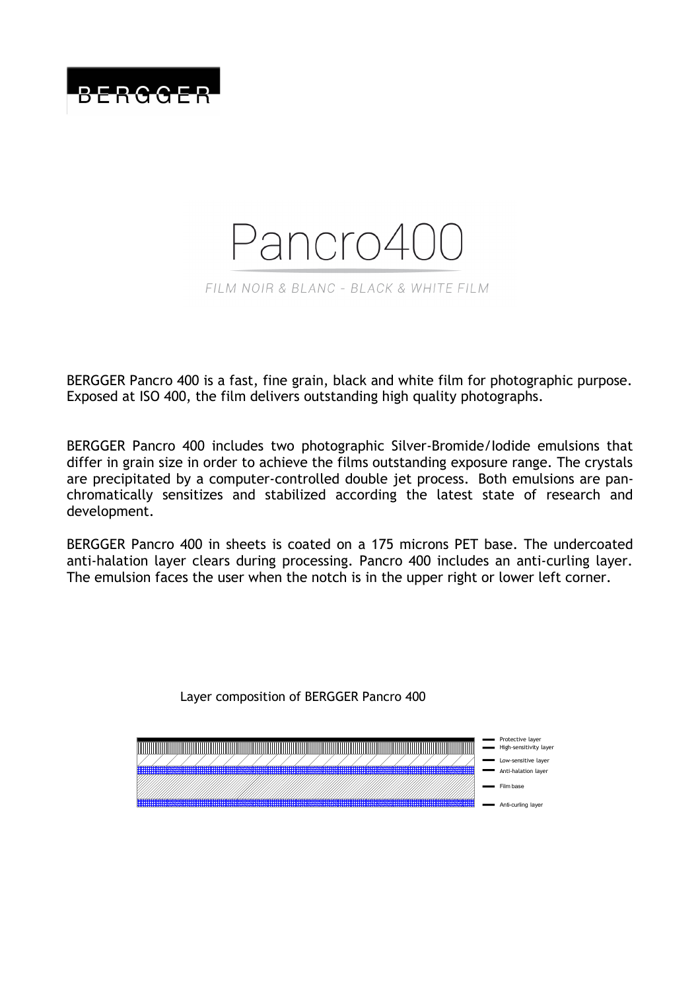

# Pancro4 FILM NOIR & BLANC - BLACK & WHITE FILM

BERGGER Pancro 400 is a fast, fine grain, black and white film for photographic purpose. Exposed at ISO 400, the film delivers outstanding high quality photographs.

BERGGER Pancro 400 includes two photographic Silver-Bromide/Iodide emulsions that differ in grain size in order to achieve the films outstanding exposure range. The crystals are precipitated by a computer-controlled double jet process. Both emulsions are panchromatically sensitizes and stabilized according the latest state of research and development.

BERGGER Pancro 400 in sheets is coated on a 175 microns PET base. The undercoated anti-halation layer clears during processing. Pancro 400 includes an anti-curling layer. The emulsion faces the user when the notch is in the upper right or lower left corner.

Layer composition of BERGGER Pancro 400

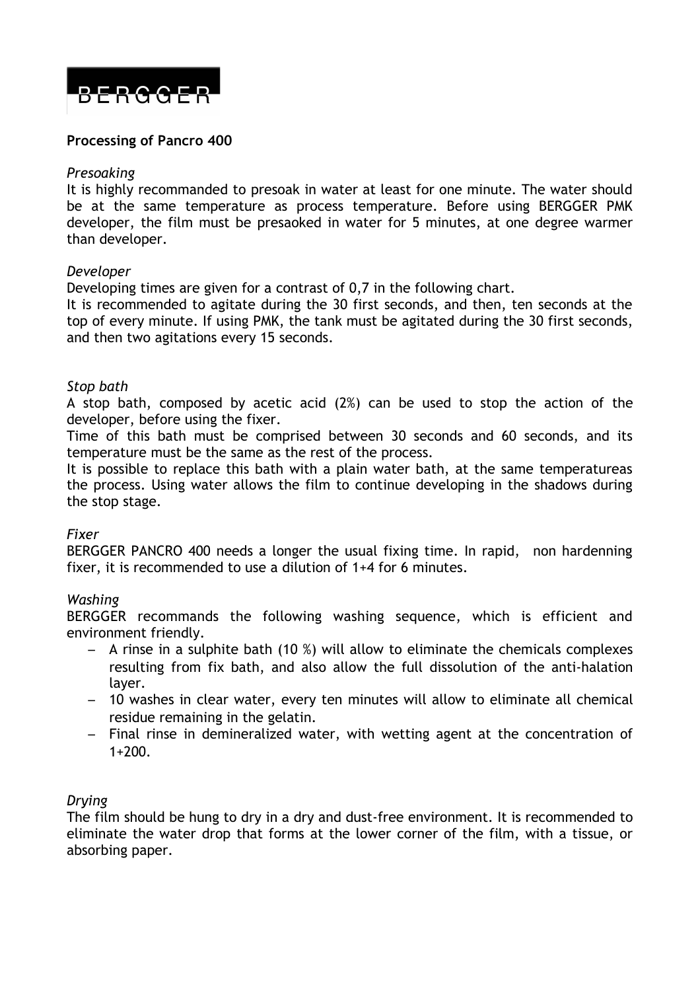

#### **Processing of Pancro 400**

#### *Presoaking*

It is highly recommanded to presoak in water at least for one minute. The water should be at the same temperature as process temperature. Before using BERGGER PMK developer, the film must be presaoked in water for 5 minutes, at one degree warmer than developer.

#### *Developer*

Developing times are given for a contrast of 0,7 in the following chart.

It is recommended to agitate during the 30 first seconds, and then, ten seconds at the top of every minute. If using PMK, the tank must be agitated during the 30 first seconds, and then two agitations every 15 seconds.

#### *Stop bath*

A stop bath, composed by acetic acid (2%) can be used to stop the action of the developer, before using the fixer.

Time of this bath must be comprised between 30 seconds and 60 seconds, and its temperature must be the same as the rest of the process.

It is possible to replace this bath with a plain water bath, at the same temperatureas the process. Using water allows the film to continue developing in the shadows during the stop stage.

#### *Fixer*

BERGGER PANCRO 400 needs a longer the usual fixing time. In rapid, non hardenning fixer, it is recommended to use a dilution of 1+4 for 6 minutes.

#### *Washing*

BERGGER recommands the following washing sequence, which is efficient and environment friendly.

- A rinse in a sulphite bath (10 %) will allow to eliminate the chemicals complexes resulting from fix bath, and also allow the full dissolution of the anti-halation layer.
- 10 washes in clear water, every ten minutes will allow to eliminate all chemical residue remaining in the gelatin.
- Final rinse in demineralized water, with wetting agent at the concentration of  $1+200$ .

#### *Drying*

The film should be hung to dry in a dry and dust-free environment. It is recommended to eliminate the water drop that forms at the lower corner of the film, with a tissue, or absorbing paper.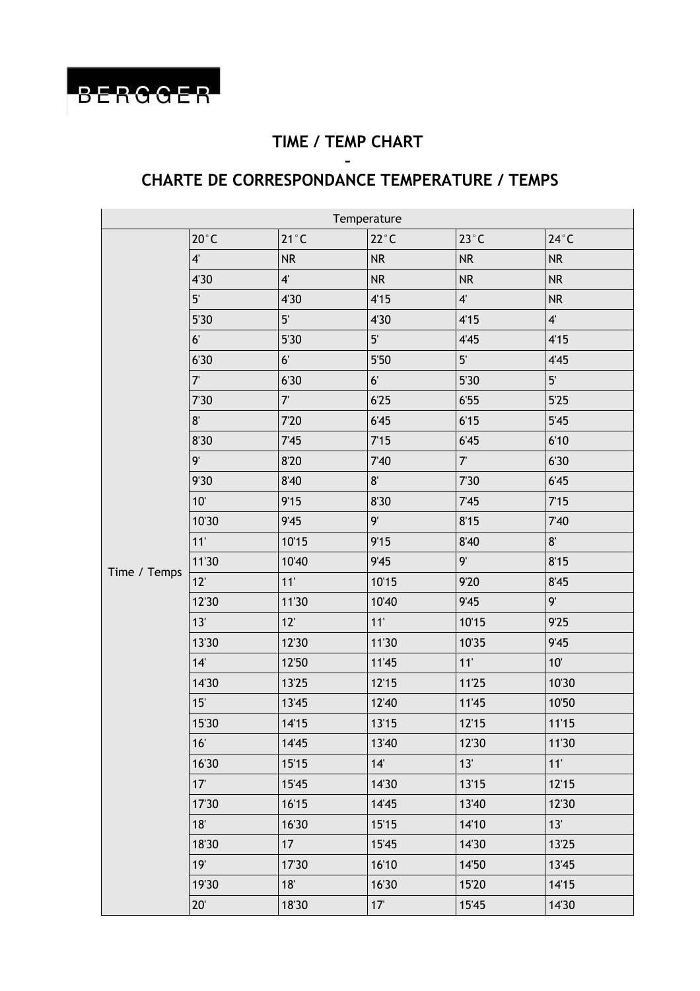

### **TIME / TEMP CHART**

#### **– CHARTE DE CORRESPONDANCE TEMPERATURE / TEMPS**

| Temperature  |                 |                |                 |                           |                |  |  |
|--------------|-----------------|----------------|-----------------|---------------------------|----------------|--|--|
| Time / Temps | $20^{\circ}$ C  | $21^{\circ}$ C | $22^{\circ}$ C  | $23^{\circ}$ C            | $24^{\circ}$ C |  |  |
|              | $4^{\circ}$     | <b>NR</b>      | <b>NR</b>       | <b>NR</b>                 | <b>NR</b>      |  |  |
|              | 4'30            | $4^{\circ}$    | NR              | <b>NR</b>                 | <b>NR</b>      |  |  |
|              | 5 <sup>′</sup>  | 4'30           | 4'15            | $\boldsymbol{4}^{\prime}$ | <b>NR</b>      |  |  |
|              | 5'30            | $5^{\circ}$    | 4'30            | 4'15                      | $4^{\circ}$    |  |  |
|              | 6 <sup>1</sup>  | 5'30           | 5 <sup>′</sup>  | 4'45                      | 4'15           |  |  |
|              | 6'30            | 6 <sup>1</sup> | 5'50            | $5^{\circ}$               | 4'45           |  |  |
|              | $7^{\circ}$     | 6'30           | 6 <sup>1</sup>  | 5'30                      | $5^{\circ}$    |  |  |
|              | 7'30            | $7^{\circ}$    | 6'25            | 6'55                      | 5'25           |  |  |
|              | $8^{\circ}$     | 7'20           | 6'45            | 6'15                      | 5'45           |  |  |
|              | 8'30            | 7'45           | 7'15            | 6'45                      | 6'10           |  |  |
|              | 9'              | 8'20           | 7'40            | $7^{\circ}$               | 6'30           |  |  |
|              | 9'30            | 8'40           | $8^{\circ}$     | 7'30                      | 6'45           |  |  |
|              | 10'             | 9'15           | 8'30            | 7'45                      | 7'15           |  |  |
|              | 10'30           | 9'45           | 9'              | 8'15                      | 7'40           |  |  |
|              | 11'             | 10'15          | 9'15            | 8'40                      | $8^{\circ}$    |  |  |
|              | 11'30           | 10'40          | 9'45            | 9'                        | 8'15           |  |  |
|              | 12'             | 11'            | 10'15           | 9'20                      | 8'45           |  |  |
|              | 12'30           | 11'30          | 10'40           | 9'45                      | 9'             |  |  |
|              | 13'             | 12             | 11'             | 10'15                     | 9'25           |  |  |
|              | 13'30           | 12'30          | 11'30           | 10'35                     | 9'45           |  |  |
|              | 14'             | 12'50          | 11'45           | 11'                       | 10'            |  |  |
|              | 14'30           | 13'25          | 12'15           | 11'25                     | 10'30          |  |  |
|              | 15'             | 13'45          | 12'40           | 11'45                     | 10'50          |  |  |
|              | 15'30           | 14'15          | 13'15           | 12'15                     | 11'15          |  |  |
|              | 16'             | 14'45          | 13'40           | 12'30                     | 11'30          |  |  |
|              | 16'30           | 15'15          | 14'             | 13'                       | 11'            |  |  |
|              | 17 <sup>°</sup> | 15'45          | 14'30           | 13'15                     | 12'15          |  |  |
|              | 17'30           | 16'15          | 14'45           | 13'40                     | 12'30          |  |  |
|              | 18'             | 16'30          | 15'15           | 14'10                     | 13'            |  |  |
|              | 18'30           | 17             | 15'45           | 14'30                     | 13'25          |  |  |
|              | 19'             | 17'30          | 16'10           | 14'50                     | 13'45          |  |  |
|              | 19'30           | 18'            | 16'30           | 15'20                     | 14'15          |  |  |
|              | $20^{\circ}$    | 18'30          | 17 <sup>°</sup> | 15'45                     | 14'30          |  |  |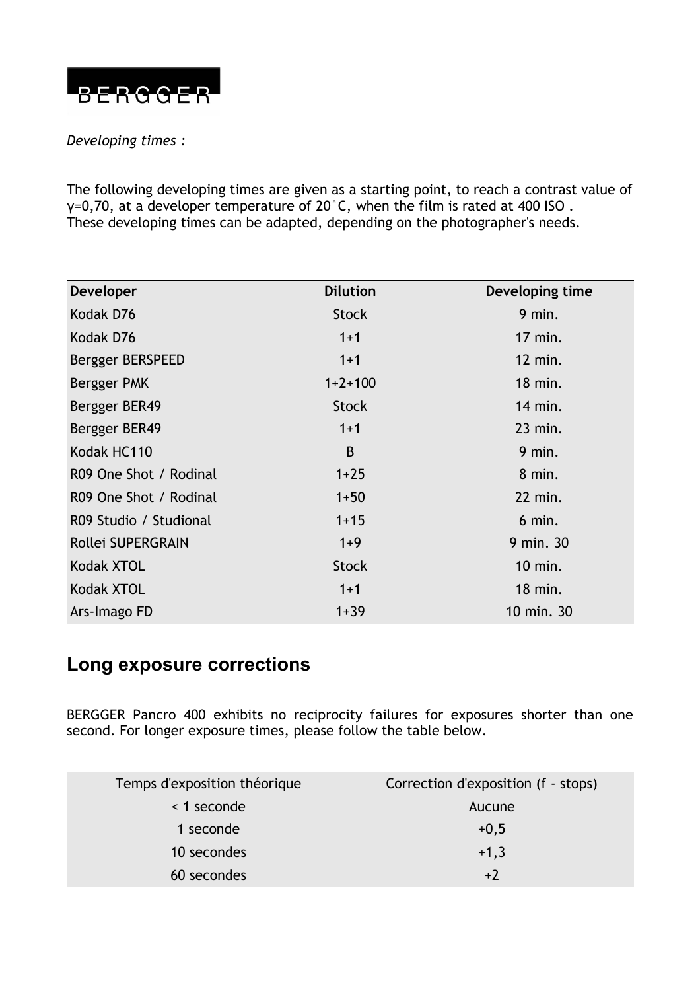

#### *Developing times :*

The following developing times are given as a starting point, to reach a contrast value of γ=0,70, at a developer temperature of 20°C, when the film is rated at 400 ISO . These developing times can be adapted, depending on the photographer's needs.

| <b>Developer</b>       | <b>Dilution</b> | Developing time |
|------------------------|-----------------|-----------------|
| Kodak D76              | <b>Stock</b>    | 9 min.          |
| Kodak D76              | $1 + 1$         | $17$ min.       |
| Bergger BERSPEED       | $1+1$           | 12 min.         |
| Bergger PMK            | $1+2+100$       | $18$ min.       |
| Bergger BER49          | <b>Stock</b>    | 14 min.         |
| Bergger BER49          | $1+1$           | $23$ min.       |
| Kodak HC110            | B               | $9$ min.        |
| R09 One Shot / Rodinal | $1 + 25$        | 8 min.          |
| R09 One Shot / Rodinal | $1 + 50$        | 22 min.         |
| R09 Studio / Studional | $1 + 15$        | $6$ min.        |
| Rollei SUPERGRAIN      | $1+9$           | 9 min. 30       |
| Kodak XTOL             | <b>Stock</b>    | 10 min.         |
| Kodak XTOL             | $1+1$           | 18 min.         |
| Ars-Imago FD           | $1 + 39$        | 10 min. 30      |

## **Long exposure corrections**

BERGGER Pancro 400 exhibits no reciprocity failures for exposures shorter than one second. For longer exposure times, please follow the table below.

| Temps d'exposition théorique | Correction d'exposition (f - stops) |
|------------------------------|-------------------------------------|
| < 1 seconde                  | Aucune                              |
| 1 seconde                    | $+0,5$                              |
| 10 secondes                  | $+1,3$                              |
| 60 secondes                  | $+2$                                |